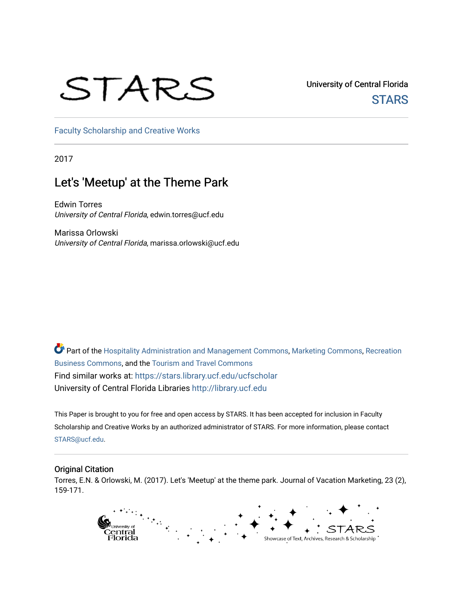# STARS

University of Central Florida **STARS** 

[Faculty Scholarship and Creative Works](https://stars.library.ucf.edu/ucfscholar) 

2017

# Let's 'Meetup' at the Theme Park

Edwin Torres University of Central Florida, edwin.torres@ucf.edu

Marissa Orlowski University of Central Florida, marissa.orlowski@ucf.edu

Part of the [Hospitality Administration and Management Commons,](http://network.bepress.com/hgg/discipline/632?utm_source=stars.library.ucf.edu%2Fucfscholar%2F651&utm_medium=PDF&utm_campaign=PDFCoverPages) [Marketing Commons](http://network.bepress.com/hgg/discipline/638?utm_source=stars.library.ucf.edu%2Fucfscholar%2F651&utm_medium=PDF&utm_campaign=PDFCoverPages), [Recreation](http://network.bepress.com/hgg/discipline/1083?utm_source=stars.library.ucf.edu%2Fucfscholar%2F651&utm_medium=PDF&utm_campaign=PDFCoverPages) [Business Commons](http://network.bepress.com/hgg/discipline/1083?utm_source=stars.library.ucf.edu%2Fucfscholar%2F651&utm_medium=PDF&utm_campaign=PDFCoverPages), and the [Tourism and Travel Commons](http://network.bepress.com/hgg/discipline/1082?utm_source=stars.library.ucf.edu%2Fucfscholar%2F651&utm_medium=PDF&utm_campaign=PDFCoverPages) Find similar works at: <https://stars.library.ucf.edu/ucfscholar> University of Central Florida Libraries [http://library.ucf.edu](http://library.ucf.edu/) 

This Paper is brought to you for free and open access by STARS. It has been accepted for inclusion in Faculty Scholarship and Creative Works by an authorized administrator of STARS. For more information, please contact [STARS@ucf.edu](mailto:STARS@ucf.edu).

# Original Citation

Torres, E.N. & Orlowski, M. (2017). Let's 'Meetup' at the theme park. Journal of Vacation Marketing, 23 (2), 159-171.

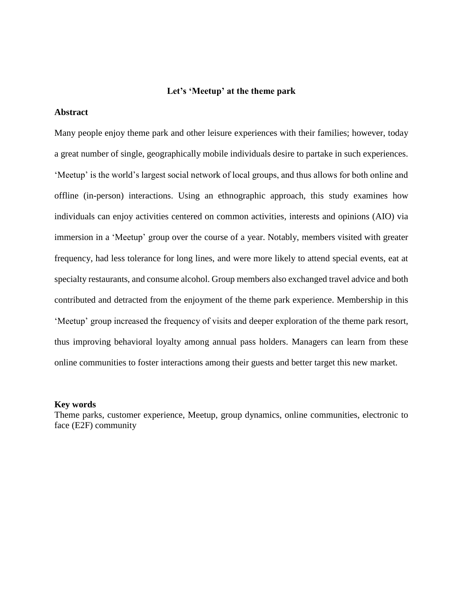# **Let's 'Meetup' at the theme park**

# **Abstract**

Many people enjoy theme park and other leisure experiences with their families; however, today a great number of single, geographically mobile individuals desire to partake in such experiences. 'Meetup' is the world's largest social network of local groups, and thus allows for both online and offline (in-person) interactions. Using an ethnographic approach, this study examines how individuals can enjoy activities centered on common activities, interests and opinions (AIO) via immersion in a 'Meetup' group over the course of a year. Notably, members visited with greater frequency, had less tolerance for long lines, and were more likely to attend special events, eat at specialty restaurants, and consume alcohol. Group members also exchanged travel advice and both contributed and detracted from the enjoyment of the theme park experience. Membership in this 'Meetup' group increased the frequency of visits and deeper exploration of the theme park resort, thus improving behavioral loyalty among annual pass holders. Managers can learn from these online communities to foster interactions among their guests and better target this new market.

#### **Key words**

Theme parks, customer experience, Meetup, group dynamics, online communities, electronic to face (E2F) community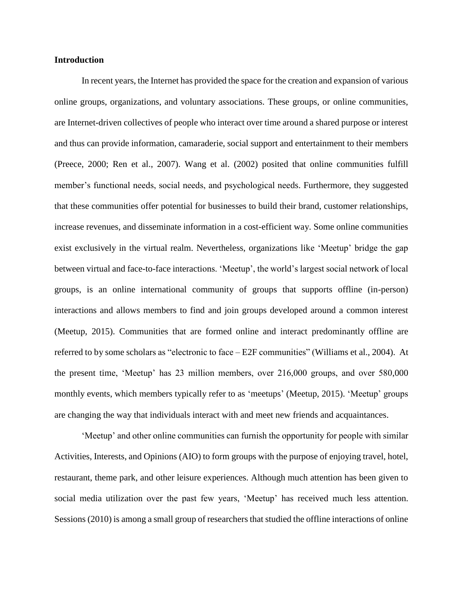### **Introduction**

In recent years, the Internet has provided the space for the creation and expansion of various online groups, organizations, and voluntary associations. These groups, or online communities, are Internet-driven collectives of people who interact over time around a shared purpose or interest and thus can provide information, camaraderie, social support and entertainment to their members (Preece, 2000; Ren et al., 2007). Wang et al. (2002) posited that online communities fulfill member's functional needs, social needs, and psychological needs. Furthermore, they suggested that these communities offer potential for businesses to build their brand, customer relationships, increase revenues, and disseminate information in a cost-efficient way. Some online communities exist exclusively in the virtual realm. Nevertheless, organizations like 'Meetup' bridge the gap between virtual and face-to-face interactions. 'Meetup', the world's largest social network of local groups, is an online international community of groups that supports offline (in-person) interactions and allows members to find and join groups developed around a common interest (Meetup, 2015). Communities that are formed online and interact predominantly offline are referred to by some scholars as "electronic to face – E2F communities" (Williams et al., 2004). At the present time, 'Meetup' has 23 million members, over 216,000 groups, and over 580,000 monthly events, which members typically refer to as 'meetups' (Meetup, 2015). 'Meetup' groups are changing the way that individuals interact with and meet new friends and acquaintances.

'Meetup' and other online communities can furnish the opportunity for people with similar Activities, Interests, and Opinions (AIO) to form groups with the purpose of enjoying travel, hotel, restaurant, theme park, and other leisure experiences. Although much attention has been given to social media utilization over the past few years, 'Meetup' has received much less attention. Sessions (2010) is among a small group of researchers that studied the offline interactions of online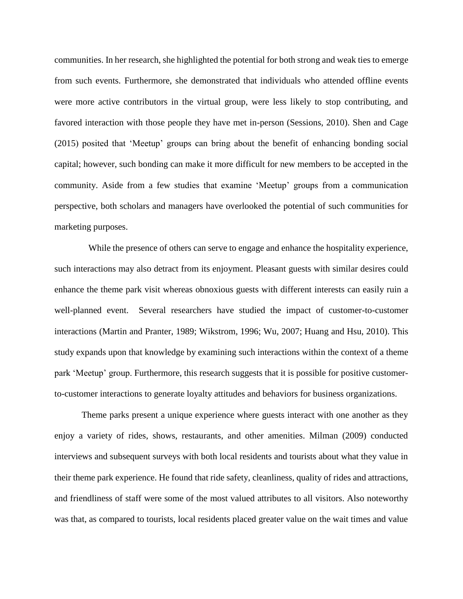communities. In her research, she highlighted the potential for both strong and weak ties to emerge from such events. Furthermore, she demonstrated that individuals who attended offline events were more active contributors in the virtual group, were less likely to stop contributing, and favored interaction with those people they have met in-person (Sessions, 2010). Shen and Cage (2015) posited that 'Meetup' groups can bring about the benefit of enhancing bonding social capital; however, such bonding can make it more difficult for new members to be accepted in the community. Aside from a few studies that examine 'Meetup' groups from a communication perspective, both scholars and managers have overlooked the potential of such communities for marketing purposes.

 While the presence of others can serve to engage and enhance the hospitality experience, such interactions may also detract from its enjoyment. Pleasant guests with similar desires could enhance the theme park visit whereas obnoxious guests with different interests can easily ruin a well-planned event. Several researchers have studied the impact of customer-to-customer interactions (Martin and Pranter, 1989; Wikstrom, 1996; Wu, 2007; Huang and Hsu, 2010). This study expands upon that knowledge by examining such interactions within the context of a theme park 'Meetup' group. Furthermore, this research suggests that it is possible for positive customerto-customer interactions to generate loyalty attitudes and behaviors for business organizations.

Theme parks present a unique experience where guests interact with one another as they enjoy a variety of rides, shows, restaurants, and other amenities. Milman (2009) conducted interviews and subsequent surveys with both local residents and tourists about what they value in their theme park experience. He found that ride safety, cleanliness, quality of rides and attractions, and friendliness of staff were some of the most valued attributes to all visitors. Also noteworthy was that, as compared to tourists, local residents placed greater value on the wait times and value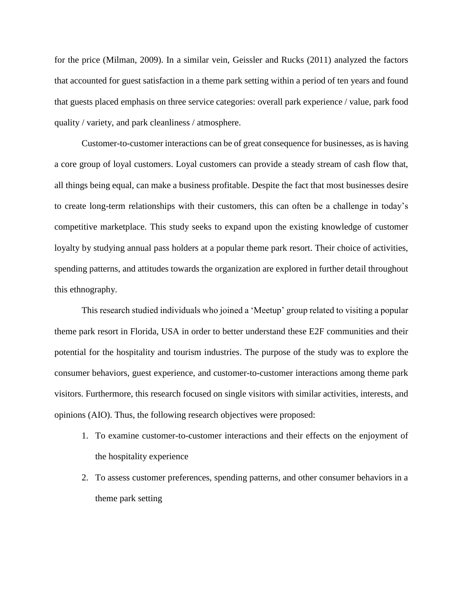for the price (Milman, 2009). In a similar vein, Geissler and Rucks (2011) analyzed the factors that accounted for guest satisfaction in a theme park setting within a period of ten years and found that guests placed emphasis on three service categories: overall park experience / value, park food quality / variety, and park cleanliness / atmosphere.

Customer-to-customer interactions can be of great consequence for businesses, as is having a core group of loyal customers. Loyal customers can provide a steady stream of cash flow that, all things being equal, can make a business profitable. Despite the fact that most businesses desire to create long-term relationships with their customers, this can often be a challenge in today's competitive marketplace. This study seeks to expand upon the existing knowledge of customer loyalty by studying annual pass holders at a popular theme park resort. Their choice of activities, spending patterns, and attitudes towards the organization are explored in further detail throughout this ethnography.

This research studied individuals who joined a 'Meetup' group related to visiting a popular theme park resort in Florida, USA in order to better understand these E2F communities and their potential for the hospitality and tourism industries. The purpose of the study was to explore the consumer behaviors, guest experience, and customer-to-customer interactions among theme park visitors. Furthermore, this research focused on single visitors with similar activities, interests, and opinions (AIO). Thus, the following research objectives were proposed:

- 1. To examine customer-to-customer interactions and their effects on the enjoyment of the hospitality experience
- 2. To assess customer preferences, spending patterns, and other consumer behaviors in a theme park setting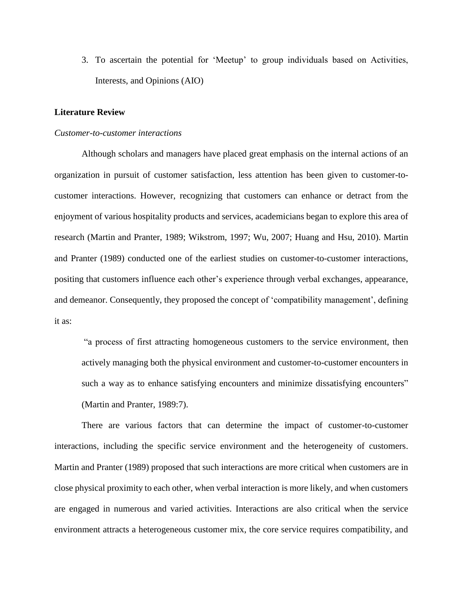3. To ascertain the potential for 'Meetup' to group individuals based on Activities, Interests, and Opinions (AIO)

# **Literature Review**

#### *Customer-to-customer interactions*

Although scholars and managers have placed great emphasis on the internal actions of an organization in pursuit of customer satisfaction, less attention has been given to customer-tocustomer interactions. However, recognizing that customers can enhance or detract from the enjoyment of various hospitality products and services, academicians began to explore this area of research (Martin and Pranter, 1989; Wikstrom, 1997; Wu, 2007; Huang and Hsu, 2010). Martin and Pranter (1989) conducted one of the earliest studies on customer-to-customer interactions, positing that customers influence each other's experience through verbal exchanges, appearance, and demeanor. Consequently, they proposed the concept of 'compatibility management', defining it as:

"a process of first attracting homogeneous customers to the service environment, then actively managing both the physical environment and customer-to-customer encounters in such a way as to enhance satisfying encounters and minimize dissatisfying encounters" (Martin and Pranter, 1989:7).

There are various factors that can determine the impact of customer-to-customer interactions, including the specific service environment and the heterogeneity of customers. Martin and Pranter (1989) proposed that such interactions are more critical when customers are in close physical proximity to each other, when verbal interaction is more likely, and when customers are engaged in numerous and varied activities. Interactions are also critical when the service environment attracts a heterogeneous customer mix, the core service requires compatibility, and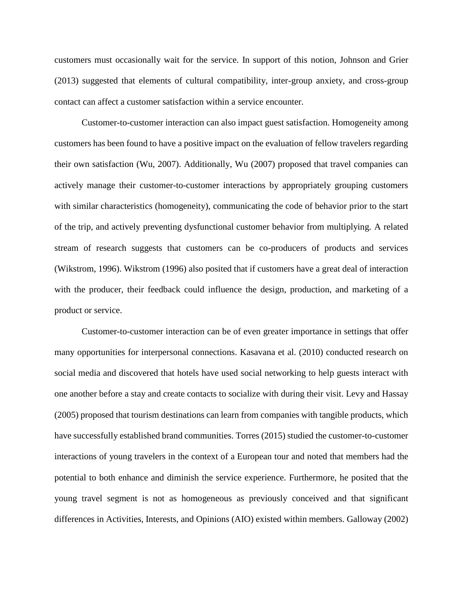customers must occasionally wait for the service. In support of this notion, Johnson and Grier (2013) suggested that elements of cultural compatibility, inter-group anxiety, and cross-group contact can affect a customer satisfaction within a service encounter.

Customer-to-customer interaction can also impact guest satisfaction. Homogeneity among customers has been found to have a positive impact on the evaluation of fellow travelers regarding their own satisfaction (Wu, 2007). Additionally, Wu (2007) proposed that travel companies can actively manage their customer-to-customer interactions by appropriately grouping customers with similar characteristics (homogeneity), communicating the code of behavior prior to the start of the trip, and actively preventing dysfunctional customer behavior from multiplying. A related stream of research suggests that customers can be co-producers of products and services (Wikstrom, 1996). Wikstrom (1996) also posited that if customers have a great deal of interaction with the producer, their feedback could influence the design, production, and marketing of a product or service.

Customer-to-customer interaction can be of even greater importance in settings that offer many opportunities for interpersonal connections. Kasavana et al. (2010) conducted research on social media and discovered that hotels have used social networking to help guests interact with one another before a stay and create contacts to socialize with during their visit. Levy and Hassay (2005) proposed that tourism destinations can learn from companies with tangible products, which have successfully established brand communities. Torres (2015) studied the customer-to-customer interactions of young travelers in the context of a European tour and noted that members had the potential to both enhance and diminish the service experience. Furthermore, he posited that the young travel segment is not as homogeneous as previously conceived and that significant differences in Activities, Interests, and Opinions (AIO) existed within members. Galloway (2002)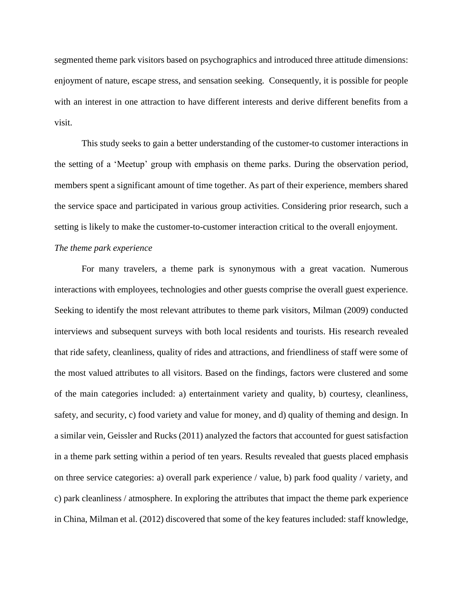segmented theme park visitors based on psychographics and introduced three attitude dimensions: enjoyment of nature, escape stress, and sensation seeking. Consequently, it is possible for people with an interest in one attraction to have different interests and derive different benefits from a visit.

This study seeks to gain a better understanding of the customer-to customer interactions in the setting of a 'Meetup' group with emphasis on theme parks. During the observation period, members spent a significant amount of time together. As part of their experience, members shared the service space and participated in various group activities. Considering prior research, such a setting is likely to make the customer-to-customer interaction critical to the overall enjoyment.

## *The theme park experience*

For many travelers, a theme park is synonymous with a great vacation. Numerous interactions with employees, technologies and other guests comprise the overall guest experience. Seeking to identify the most relevant attributes to theme park visitors, Milman (2009) conducted interviews and subsequent surveys with both local residents and tourists. His research revealed that ride safety, cleanliness, quality of rides and attractions, and friendliness of staff were some of the most valued attributes to all visitors. Based on the findings, factors were clustered and some of the main categories included: a) entertainment variety and quality, b) courtesy, cleanliness, safety, and security, c) food variety and value for money, and d) quality of theming and design. In a similar vein, Geissler and Rucks (2011) analyzed the factors that accounted for guest satisfaction in a theme park setting within a period of ten years. Results revealed that guests placed emphasis on three service categories: a) overall park experience / value, b) park food quality / variety, and c) park cleanliness / atmosphere. In exploring the attributes that impact the theme park experience in China, Milman et al. (2012) discovered that some of the key features included: staff knowledge,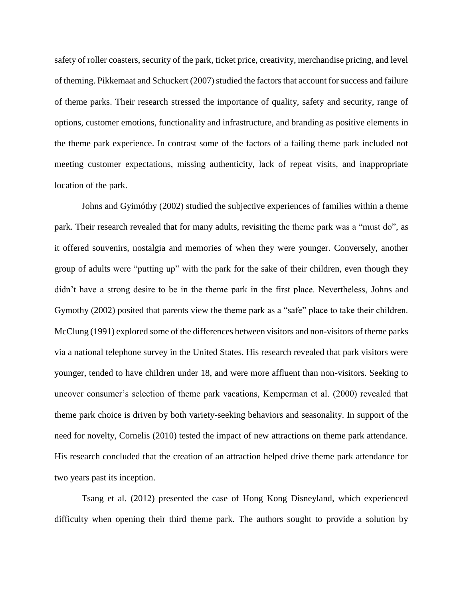safety of roller coasters, security of the park, ticket price, creativity, merchandise pricing, and level of theming. Pikkemaat and Schuckert (2007) studied the factors that account for success and failure of theme parks. Their research stressed the importance of quality, safety and security, range of options, customer emotions, functionality and infrastructure, and branding as positive elements in the theme park experience. In contrast some of the factors of a failing theme park included not meeting customer expectations, missing authenticity, lack of repeat visits, and inappropriate location of the park.

Johns and Gyimóthy (2002) studied the subjective experiences of families within a theme park. Their research revealed that for many adults, revisiting the theme park was a "must do", as it offered souvenirs, nostalgia and memories of when they were younger. Conversely, another group of adults were "putting up" with the park for the sake of their children, even though they didn't have a strong desire to be in the theme park in the first place. Nevertheless, Johns and Gymothy (2002) posited that parents view the theme park as a "safe" place to take their children. McClung (1991) explored some of the differences between visitors and non-visitors of theme parks via a national telephone survey in the United States. His research revealed that park visitors were younger, tended to have children under 18, and were more affluent than non-visitors. Seeking to uncover consumer's selection of theme park vacations, Kemperman et al. (2000) revealed that theme park choice is driven by both variety-seeking behaviors and seasonality. In support of the need for novelty, Cornelis (2010) tested the impact of new attractions on theme park attendance. His research concluded that the creation of an attraction helped drive theme park attendance for two years past its inception.

Tsang et al. (2012) presented the case of Hong Kong Disneyland, which experienced difficulty when opening their third theme park. The authors sought to provide a solution by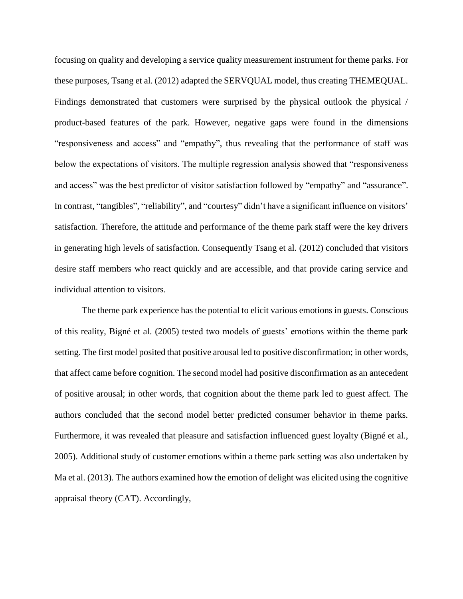focusing on quality and developing a service quality measurement instrument for theme parks. For these purposes, Tsang et al. (2012) adapted the SERVQUAL model, thus creating THEMEQUAL. Findings demonstrated that customers were surprised by the physical outlook the physical / product-based features of the park. However, negative gaps were found in the dimensions "responsiveness and access" and "empathy", thus revealing that the performance of staff was below the expectations of visitors. The multiple regression analysis showed that "responsiveness and access" was the best predictor of visitor satisfaction followed by "empathy" and "assurance". In contrast, "tangibles", "reliability", and "courtesy" didn't have a significant influence on visitors' satisfaction. Therefore, the attitude and performance of the theme park staff were the key drivers in generating high levels of satisfaction. Consequently Tsang et al. (2012) concluded that visitors desire staff members who react quickly and are accessible, and that provide caring service and individual attention to visitors.

The theme park experience has the potential to elicit various emotions in guests. Conscious of this reality, Bigné et al. (2005) tested two models of guests' emotions within the theme park setting. The first model posited that positive arousal led to positive disconfirmation; in other words, that affect came before cognition. The second model had positive disconfirmation as an antecedent of positive arousal; in other words, that cognition about the theme park led to guest affect. The authors concluded that the second model better predicted consumer behavior in theme parks. Furthermore, it was revealed that pleasure and satisfaction influenced guest loyalty (Bigné et al., 2005). Additional study of customer emotions within a theme park setting was also undertaken by Ma et al. (2013). The authors examined how the emotion of delight was elicited using the cognitive appraisal theory (CAT). Accordingly,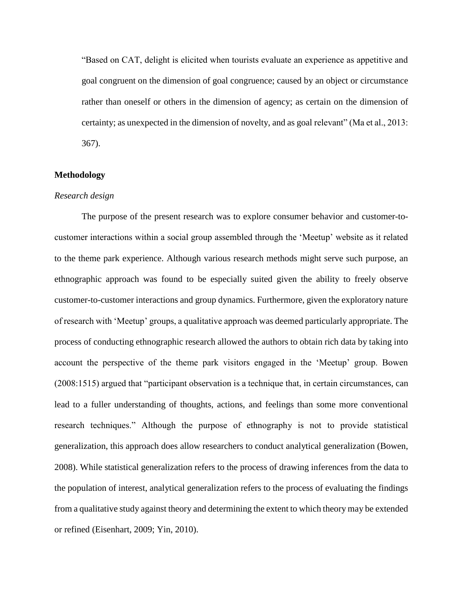"Based on CAT, delight is elicited when tourists evaluate an experience as appetitive and goal congruent on the dimension of goal congruence; caused by an object or circumstance rather than oneself or others in the dimension of agency; as certain on the dimension of certainty; as unexpected in the dimension of novelty, and as goal relevant" (Ma et al., 2013: 367).

# **Methodology**

### *Research design*

The purpose of the present research was to explore consumer behavior and customer-tocustomer interactions within a social group assembled through the 'Meetup' website as it related to the theme park experience. Although various research methods might serve such purpose, an ethnographic approach was found to be especially suited given the ability to freely observe customer-to-customer interactions and group dynamics. Furthermore, given the exploratory nature of research with 'Meetup' groups, a qualitative approach was deemed particularly appropriate. The process of conducting ethnographic research allowed the authors to obtain rich data by taking into account the perspective of the theme park visitors engaged in the 'Meetup' group. Bowen (2008:1515) argued that "participant observation is a technique that, in certain circumstances, can lead to a fuller understanding of thoughts, actions, and feelings than some more conventional research techniques." Although the purpose of ethnography is not to provide statistical generalization, this approach does allow researchers to conduct analytical generalization (Bowen, 2008). While statistical generalization refers to the process of drawing inferences from the data to the population of interest, analytical generalization refers to the process of evaluating the findings from a qualitative study against theory and determining the extent to which theory may be extended or refined (Eisenhart, 2009; Yin, 2010).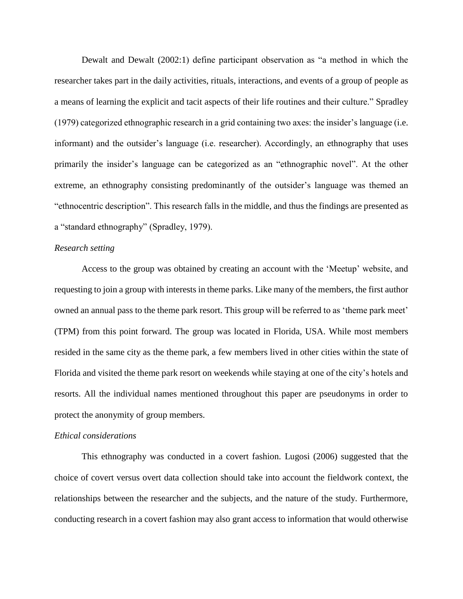Dewalt and Dewalt (2002:1) define participant observation as "a method in which the researcher takes part in the daily activities, rituals, interactions, and events of a group of people as a means of learning the explicit and tacit aspects of their life routines and their culture." Spradley (1979) categorized ethnographic research in a grid containing two axes: the insider's language (i.e. informant) and the outsider's language (i.e. researcher). Accordingly, an ethnography that uses primarily the insider's language can be categorized as an "ethnographic novel". At the other extreme, an ethnography consisting predominantly of the outsider's language was themed an "ethnocentric description". This research falls in the middle, and thus the findings are presented as a "standard ethnography" (Spradley, 1979).

# *Research setting*

Access to the group was obtained by creating an account with the 'Meetup' website, and requesting to join a group with interests in theme parks. Like many of the members, the first author owned an annual pass to the theme park resort. This group will be referred to as 'theme park meet' (TPM) from this point forward. The group was located in Florida, USA. While most members resided in the same city as the theme park, a few members lived in other cities within the state of Florida and visited the theme park resort on weekends while staying at one of the city's hotels and resorts. All the individual names mentioned throughout this paper are pseudonyms in order to protect the anonymity of group members.

#### *Ethical considerations*

This ethnography was conducted in a covert fashion. Lugosi (2006) suggested that the choice of covert versus overt data collection should take into account the fieldwork context, the relationships between the researcher and the subjects, and the nature of the study. Furthermore, conducting research in a covert fashion may also grant access to information that would otherwise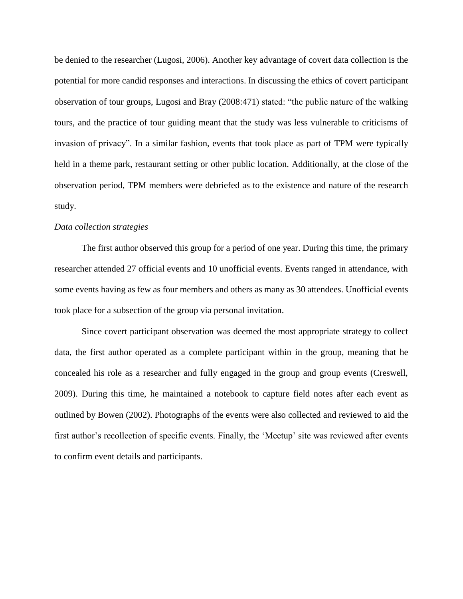be denied to the researcher (Lugosi, 2006). Another key advantage of covert data collection is the potential for more candid responses and interactions. In discussing the ethics of covert participant observation of tour groups, Lugosi and Bray (2008:471) stated: "the public nature of the walking tours, and the practice of tour guiding meant that the study was less vulnerable to criticisms of invasion of privacy". In a similar fashion, events that took place as part of TPM were typically held in a theme park, restaurant setting or other public location. Additionally, at the close of the observation period, TPM members were debriefed as to the existence and nature of the research study.

# *Data collection strategies*

The first author observed this group for a period of one year. During this time, the primary researcher attended 27 official events and 10 unofficial events. Events ranged in attendance, with some events having as few as four members and others as many as 30 attendees. Unofficial events took place for a subsection of the group via personal invitation.

Since covert participant observation was deemed the most appropriate strategy to collect data, the first author operated as a complete participant within in the group, meaning that he concealed his role as a researcher and fully engaged in the group and group events (Creswell, 2009). During this time, he maintained a notebook to capture field notes after each event as outlined by Bowen (2002). Photographs of the events were also collected and reviewed to aid the first author's recollection of specific events. Finally, the 'Meetup' site was reviewed after events to confirm event details and participants.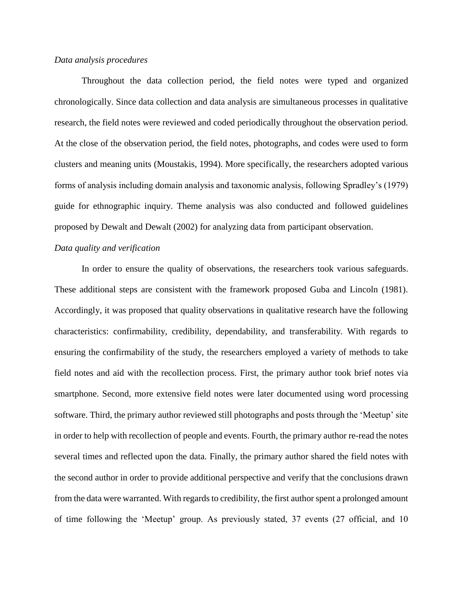#### *Data analysis procedures*

Throughout the data collection period, the field notes were typed and organized chronologically. Since data collection and data analysis are simultaneous processes in qualitative research, the field notes were reviewed and coded periodically throughout the observation period. At the close of the observation period, the field notes, photographs, and codes were used to form clusters and meaning units (Moustakis, 1994). More specifically, the researchers adopted various forms of analysis including domain analysis and taxonomic analysis, following Spradley's (1979) guide for ethnographic inquiry. Theme analysis was also conducted and followed guidelines proposed by Dewalt and Dewalt (2002) for analyzing data from participant observation.

# *Data quality and verification*

In order to ensure the quality of observations, the researchers took various safeguards. These additional steps are consistent with the framework proposed Guba and Lincoln (1981). Accordingly, it was proposed that quality observations in qualitative research have the following characteristics: confirmability, credibility, dependability, and transferability. With regards to ensuring the confirmability of the study, the researchers employed a variety of methods to take field notes and aid with the recollection process. First, the primary author took brief notes via smartphone. Second, more extensive field notes were later documented using word processing software. Third, the primary author reviewed still photographs and posts through the 'Meetup' site in order to help with recollection of people and events. Fourth, the primary author re-read the notes several times and reflected upon the data. Finally, the primary author shared the field notes with the second author in order to provide additional perspective and verify that the conclusions drawn from the data were warranted. With regards to credibility, the first author spent a prolonged amount of time following the 'Meetup' group. As previously stated, 37 events (27 official, and 10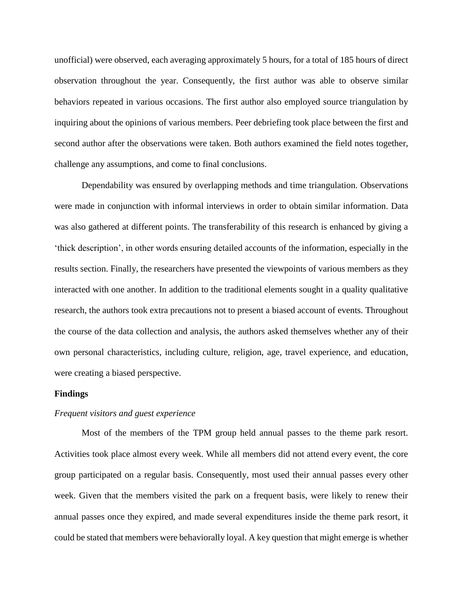unofficial) were observed, each averaging approximately 5 hours, for a total of 185 hours of direct observation throughout the year. Consequently, the first author was able to observe similar behaviors repeated in various occasions. The first author also employed source triangulation by inquiring about the opinions of various members. Peer debriefing took place between the first and second author after the observations were taken. Both authors examined the field notes together, challenge any assumptions, and come to final conclusions.

Dependability was ensured by overlapping methods and time triangulation. Observations were made in conjunction with informal interviews in order to obtain similar information. Data was also gathered at different points. The transferability of this research is enhanced by giving a 'thick description', in other words ensuring detailed accounts of the information, especially in the results section. Finally, the researchers have presented the viewpoints of various members as they interacted with one another. In addition to the traditional elements sought in a quality qualitative research, the authors took extra precautions not to present a biased account of events. Throughout the course of the data collection and analysis, the authors asked themselves whether any of their own personal characteristics, including culture, religion, age, travel experience, and education, were creating a biased perspective.

#### **Findings**

# *Frequent visitors and guest experience*

Most of the members of the TPM group held annual passes to the theme park resort. Activities took place almost every week. While all members did not attend every event, the core group participated on a regular basis. Consequently, most used their annual passes every other week. Given that the members visited the park on a frequent basis, were likely to renew their annual passes once they expired, and made several expenditures inside the theme park resort, it could be stated that members were behaviorally loyal. A key question that might emerge is whether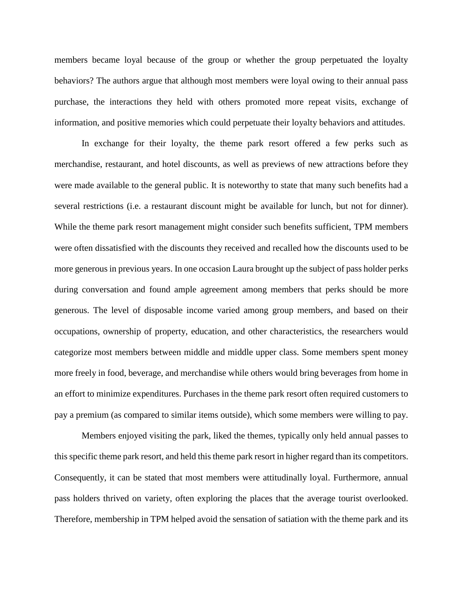members became loyal because of the group or whether the group perpetuated the loyalty behaviors? The authors argue that although most members were loyal owing to their annual pass purchase, the interactions they held with others promoted more repeat visits, exchange of information, and positive memories which could perpetuate their loyalty behaviors and attitudes.

In exchange for their loyalty, the theme park resort offered a few perks such as merchandise, restaurant, and hotel discounts, as well as previews of new attractions before they were made available to the general public. It is noteworthy to state that many such benefits had a several restrictions (i.e. a restaurant discount might be available for lunch, but not for dinner). While the theme park resort management might consider such benefits sufficient, TPM members were often dissatisfied with the discounts they received and recalled how the discounts used to be more generous in previous years. In one occasion Laura brought up the subject of pass holder perks during conversation and found ample agreement among members that perks should be more generous. The level of disposable income varied among group members, and based on their occupations, ownership of property, education, and other characteristics, the researchers would categorize most members between middle and middle upper class. Some members spent money more freely in food, beverage, and merchandise while others would bring beverages from home in an effort to minimize expenditures. Purchases in the theme park resort often required customers to pay a premium (as compared to similar items outside), which some members were willing to pay.

Members enjoyed visiting the park, liked the themes, typically only held annual passes to this specific theme park resort, and held this theme park resort in higher regard than its competitors. Consequently, it can be stated that most members were attitudinally loyal. Furthermore, annual pass holders thrived on variety, often exploring the places that the average tourist overlooked. Therefore, membership in TPM helped avoid the sensation of satiation with the theme park and its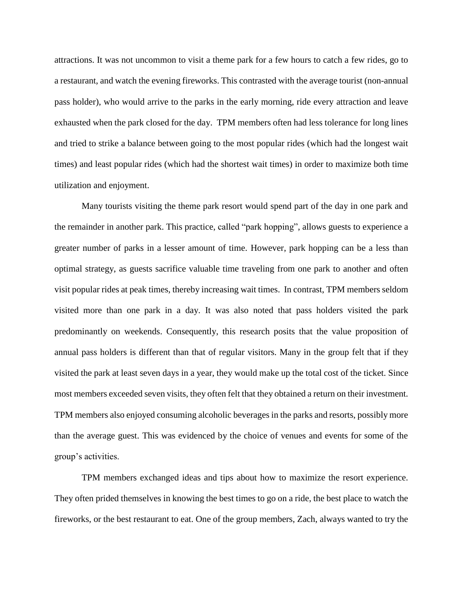attractions. It was not uncommon to visit a theme park for a few hours to catch a few rides, go to a restaurant, and watch the evening fireworks. This contrasted with the average tourist (non-annual pass holder), who would arrive to the parks in the early morning, ride every attraction and leave exhausted when the park closed for the day. TPM members often had less tolerance for long lines and tried to strike a balance between going to the most popular rides (which had the longest wait times) and least popular rides (which had the shortest wait times) in order to maximize both time utilization and enjoyment.

Many tourists visiting the theme park resort would spend part of the day in one park and the remainder in another park. This practice, called "park hopping", allows guests to experience a greater number of parks in a lesser amount of time. However, park hopping can be a less than optimal strategy, as guests sacrifice valuable time traveling from one park to another and often visit popular rides at peak times, thereby increasing wait times. In contrast, TPM members seldom visited more than one park in a day. It was also noted that pass holders visited the park predominantly on weekends. Consequently, this research posits that the value proposition of annual pass holders is different than that of regular visitors. Many in the group felt that if they visited the park at least seven days in a year, they would make up the total cost of the ticket. Since most members exceeded seven visits, they often felt that they obtained a return on their investment. TPM members also enjoyed consuming alcoholic beverages in the parks and resorts, possibly more than the average guest. This was evidenced by the choice of venues and events for some of the group's activities.

TPM members exchanged ideas and tips about how to maximize the resort experience. They often prided themselves in knowing the best times to go on a ride, the best place to watch the fireworks, or the best restaurant to eat. One of the group members, Zach, always wanted to try the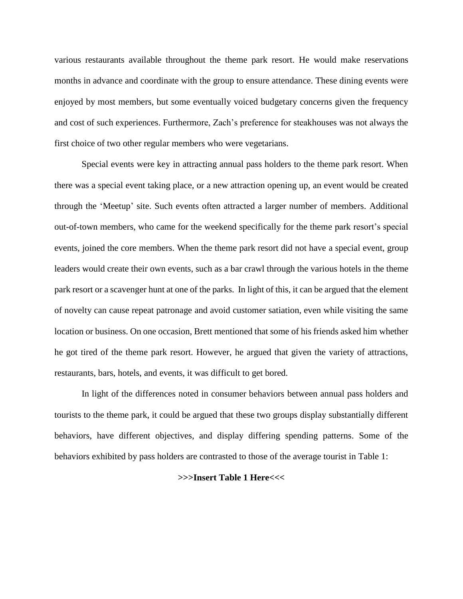various restaurants available throughout the theme park resort. He would make reservations months in advance and coordinate with the group to ensure attendance. These dining events were enjoyed by most members, but some eventually voiced budgetary concerns given the frequency and cost of such experiences. Furthermore, Zach's preference for steakhouses was not always the first choice of two other regular members who were vegetarians.

Special events were key in attracting annual pass holders to the theme park resort. When there was a special event taking place, or a new attraction opening up, an event would be created through the 'Meetup' site. Such events often attracted a larger number of members. Additional out-of-town members, who came for the weekend specifically for the theme park resort's special events, joined the core members. When the theme park resort did not have a special event, group leaders would create their own events, such as a bar crawl through the various hotels in the theme park resort or a scavenger hunt at one of the parks. In light of this, it can be argued that the element of novelty can cause repeat patronage and avoid customer satiation, even while visiting the same location or business. On one occasion, Brett mentioned that some of his friends asked him whether he got tired of the theme park resort. However, he argued that given the variety of attractions, restaurants, bars, hotels, and events, it was difficult to get bored.

In light of the differences noted in consumer behaviors between annual pass holders and tourists to the theme park, it could be argued that these two groups display substantially different behaviors, have different objectives, and display differing spending patterns. Some of the behaviors exhibited by pass holders are contrasted to those of the average tourist in Table 1:

#### **>>>Insert Table 1 Here<<<**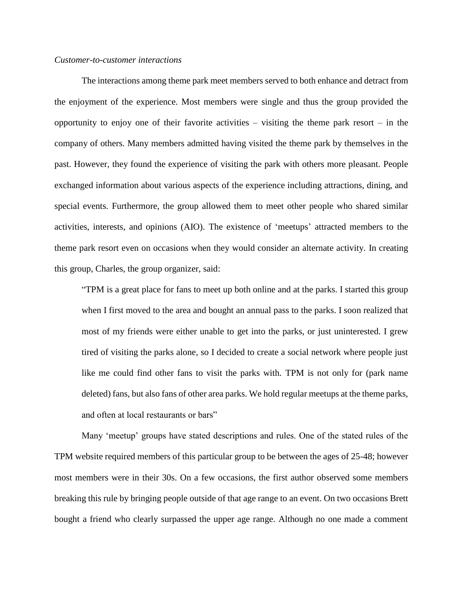#### *Customer-to-customer interactions*

The interactions among theme park meet members served to both enhance and detract from the enjoyment of the experience. Most members were single and thus the group provided the opportunity to enjoy one of their favorite activities – visiting the theme park resort – in the company of others. Many members admitted having visited the theme park by themselves in the past. However, they found the experience of visiting the park with others more pleasant. People exchanged information about various aspects of the experience including attractions, dining, and special events. Furthermore, the group allowed them to meet other people who shared similar activities, interests, and opinions (AIO). The existence of 'meetups' attracted members to the theme park resort even on occasions when they would consider an alternate activity. In creating this group, Charles, the group organizer, said:

"TPM is a great place for fans to meet up both online and at the parks. I started this group when I first moved to the area and bought an annual pass to the parks. I soon realized that most of my friends were either unable to get into the parks, or just uninterested. I grew tired of visiting the parks alone, so I decided to create a social network where people just like me could find other fans to visit the parks with. TPM is not only for (park name deleted) fans, but also fans of other area parks. We hold regular meetups at the theme parks, and often at local restaurants or bars"

Many 'meetup' groups have stated descriptions and rules. One of the stated rules of the TPM website required members of this particular group to be between the ages of 25-48; however most members were in their 30s. On a few occasions, the first author observed some members breaking this rule by bringing people outside of that age range to an event. On two occasions Brett bought a friend who clearly surpassed the upper age range. Although no one made a comment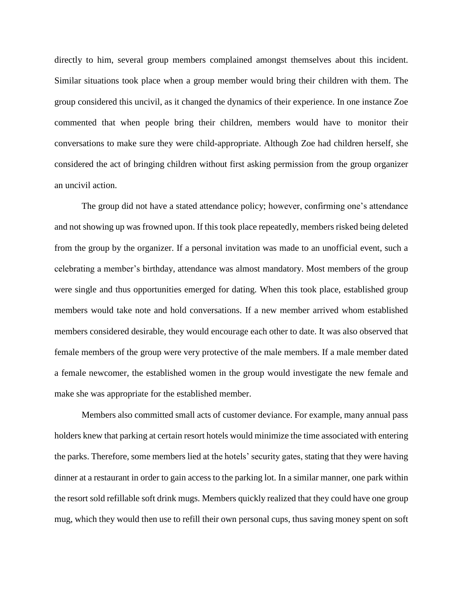directly to him, several group members complained amongst themselves about this incident. Similar situations took place when a group member would bring their children with them. The group considered this uncivil, as it changed the dynamics of their experience. In one instance Zoe commented that when people bring their children, members would have to monitor their conversations to make sure they were child-appropriate. Although Zoe had children herself, she considered the act of bringing children without first asking permission from the group organizer an uncivil action.

The group did not have a stated attendance policy; however, confirming one's attendance and not showing up was frowned upon. If this took place repeatedly, members risked being deleted from the group by the organizer. If a personal invitation was made to an unofficial event, such a celebrating a member's birthday, attendance was almost mandatory. Most members of the group were single and thus opportunities emerged for dating. When this took place, established group members would take note and hold conversations. If a new member arrived whom established members considered desirable, they would encourage each other to date. It was also observed that female members of the group were very protective of the male members. If a male member dated a female newcomer, the established women in the group would investigate the new female and make she was appropriate for the established member.

Members also committed small acts of customer deviance. For example, many annual pass holders knew that parking at certain resort hotels would minimize the time associated with entering the parks. Therefore, some members lied at the hotels' security gates, stating that they were having dinner at a restaurant in order to gain access to the parking lot. In a similar manner, one park within the resort sold refillable soft drink mugs. Members quickly realized that they could have one group mug, which they would then use to refill their own personal cups, thus saving money spent on soft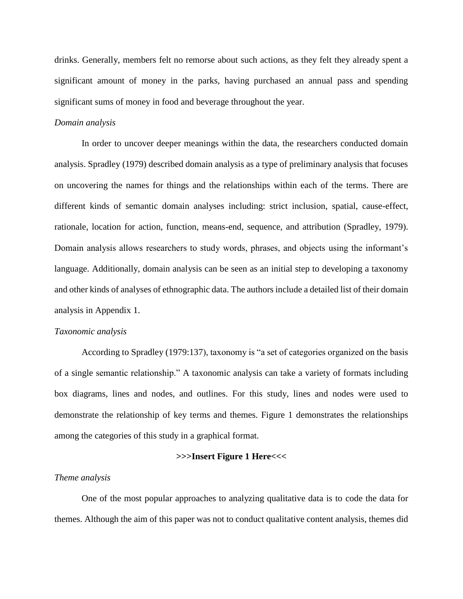drinks. Generally, members felt no remorse about such actions, as they felt they already spent a significant amount of money in the parks, having purchased an annual pass and spending significant sums of money in food and beverage throughout the year.

# *Domain analysis*

In order to uncover deeper meanings within the data, the researchers conducted domain analysis. Spradley (1979) described domain analysis as a type of preliminary analysis that focuses on uncovering the names for things and the relationships within each of the terms. There are different kinds of semantic domain analyses including: strict inclusion, spatial, cause-effect, rationale, location for action, function, means-end, sequence, and attribution (Spradley, 1979). Domain analysis allows researchers to study words, phrases, and objects using the informant's language. Additionally, domain analysis can be seen as an initial step to developing a taxonomy and other kinds of analyses of ethnographic data. The authors include a detailed list of their domain analysis in Appendix 1.

#### *Taxonomic analysis*

According to Spradley (1979:137), taxonomy is "a set of categories organized on the basis of a single semantic relationship." A taxonomic analysis can take a variety of formats including box diagrams, lines and nodes, and outlines. For this study, lines and nodes were used to demonstrate the relationship of key terms and themes. Figure 1 demonstrates the relationships among the categories of this study in a graphical format.

#### **>>>Insert Figure 1 Here<<<**

#### *Theme analysis*

One of the most popular approaches to analyzing qualitative data is to code the data for themes. Although the aim of this paper was not to conduct qualitative content analysis, themes did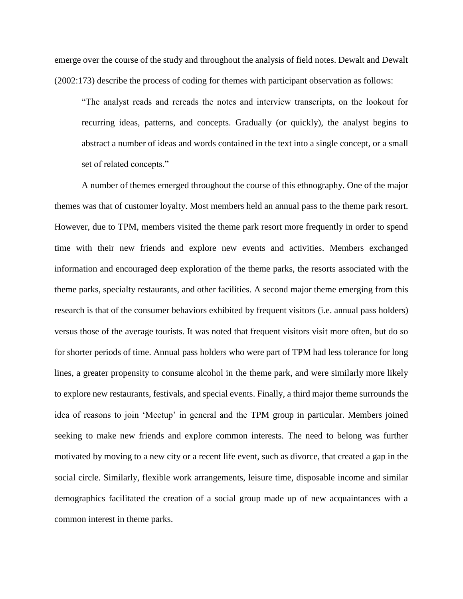emerge over the course of the study and throughout the analysis of field notes. Dewalt and Dewalt (2002:173) describe the process of coding for themes with participant observation as follows:

"The analyst reads and rereads the notes and interview transcripts, on the lookout for recurring ideas, patterns, and concepts. Gradually (or quickly), the analyst begins to abstract a number of ideas and words contained in the text into a single concept, or a small set of related concepts."

A number of themes emerged throughout the course of this ethnography. One of the major themes was that of customer loyalty. Most members held an annual pass to the theme park resort. However, due to TPM, members visited the theme park resort more frequently in order to spend time with their new friends and explore new events and activities. Members exchanged information and encouraged deep exploration of the theme parks, the resorts associated with the theme parks, specialty restaurants, and other facilities. A second major theme emerging from this research is that of the consumer behaviors exhibited by frequent visitors (i.e. annual pass holders) versus those of the average tourists. It was noted that frequent visitors visit more often, but do so for shorter periods of time. Annual pass holders who were part of TPM had less tolerance for long lines, a greater propensity to consume alcohol in the theme park, and were similarly more likely to explore new restaurants, festivals, and special events. Finally, a third major theme surrounds the idea of reasons to join 'Meetup' in general and the TPM group in particular. Members joined seeking to make new friends and explore common interests. The need to belong was further motivated by moving to a new city or a recent life event, such as divorce, that created a gap in the social circle. Similarly, flexible work arrangements, leisure time, disposable income and similar demographics facilitated the creation of a social group made up of new acquaintances with a common interest in theme parks.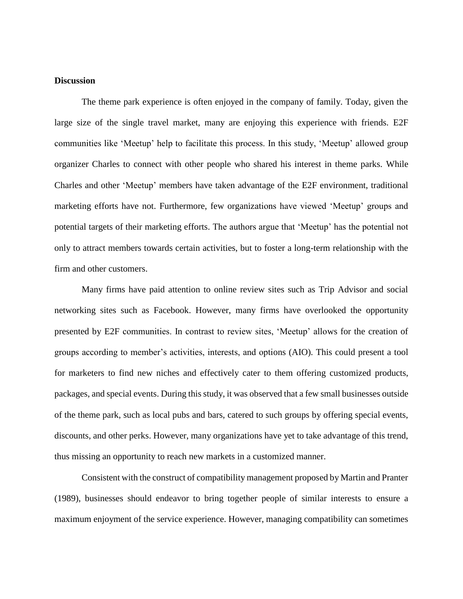# **Discussion**

The theme park experience is often enjoyed in the company of family. Today, given the large size of the single travel market, many are enjoying this experience with friends. E2F communities like 'Meetup' help to facilitate this process. In this study, 'Meetup' allowed group organizer Charles to connect with other people who shared his interest in theme parks. While Charles and other 'Meetup' members have taken advantage of the E2F environment, traditional marketing efforts have not. Furthermore, few organizations have viewed 'Meetup' groups and potential targets of their marketing efforts. The authors argue that 'Meetup' has the potential not only to attract members towards certain activities, but to foster a long-term relationship with the firm and other customers.

Many firms have paid attention to online review sites such as Trip Advisor and social networking sites such as Facebook. However, many firms have overlooked the opportunity presented by E2F communities. In contrast to review sites, 'Meetup' allows for the creation of groups according to member's activities, interests, and options (AIO). This could present a tool for marketers to find new niches and effectively cater to them offering customized products, packages, and special events. During this study, it was observed that a few small businesses outside of the theme park, such as local pubs and bars, catered to such groups by offering special events, discounts, and other perks. However, many organizations have yet to take advantage of this trend, thus missing an opportunity to reach new markets in a customized manner.

Consistent with the construct of compatibility management proposed by Martin and Pranter (1989), businesses should endeavor to bring together people of similar interests to ensure a maximum enjoyment of the service experience. However, managing compatibility can sometimes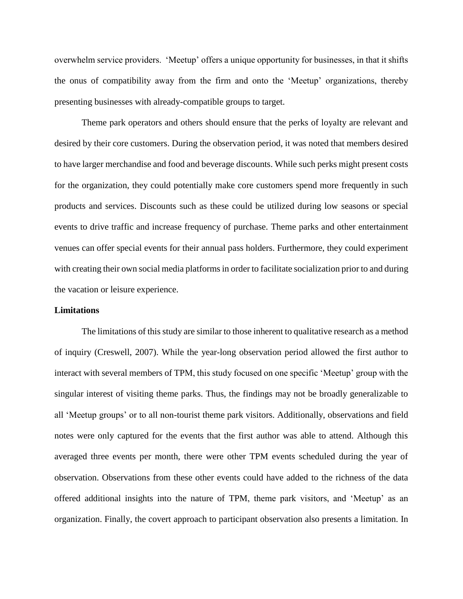overwhelm service providers. 'Meetup' offers a unique opportunity for businesses, in that it shifts the onus of compatibility away from the firm and onto the 'Meetup' organizations, thereby presenting businesses with already-compatible groups to target.

Theme park operators and others should ensure that the perks of loyalty are relevant and desired by their core customers. During the observation period, it was noted that members desired to have larger merchandise and food and beverage discounts. While such perks might present costs for the organization, they could potentially make core customers spend more frequently in such products and services. Discounts such as these could be utilized during low seasons or special events to drive traffic and increase frequency of purchase. Theme parks and other entertainment venues can offer special events for their annual pass holders. Furthermore, they could experiment with creating their own social media platforms in order to facilitate socialization prior to and during the vacation or leisure experience.

#### **Limitations**

The limitations of this study are similar to those inherent to qualitative research as a method of inquiry (Creswell, 2007). While the year-long observation period allowed the first author to interact with several members of TPM, this study focused on one specific 'Meetup' group with the singular interest of visiting theme parks. Thus, the findings may not be broadly generalizable to all 'Meetup groups' or to all non-tourist theme park visitors. Additionally, observations and field notes were only captured for the events that the first author was able to attend. Although this averaged three events per month, there were other TPM events scheduled during the year of observation. Observations from these other events could have added to the richness of the data offered additional insights into the nature of TPM, theme park visitors, and 'Meetup' as an organization. Finally, the covert approach to participant observation also presents a limitation. In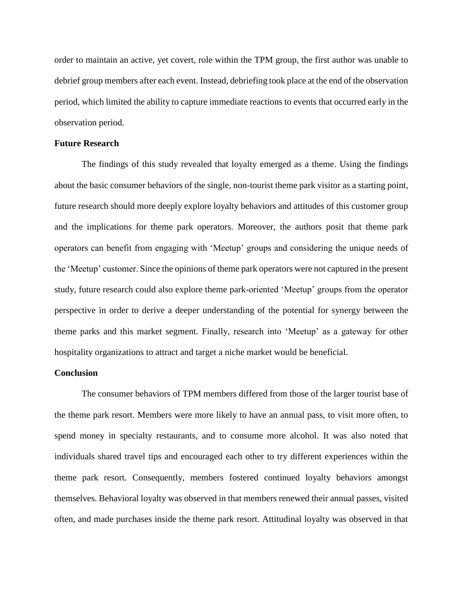order to maintain an active, yet covert, role within the TPM group, the first author was unable to debrief group members after each event. Instead, debriefing took place at the end of the observation period, which limited the ability to capture immediate reactions to events that occurred early in the observation period.

#### **Future Research**

The findings of this study revealed that loyalty emerged as a theme. Using the findings about the basic consumer behaviors of the single, non-tourist theme park visitor as a starting point, future research should more deeply explore loyalty behaviors and attitudes of this customer group and the implications for theme park operators. Moreover, the authors posit that theme park operators can benefit from engaging with 'Meetup' groups and considering the unique needs of the 'Meetup' customer. Since the opinions of theme park operators were not captured in the present study, future research could also explore theme park-oriented 'Meetup' groups from the operator perspective in order to derive a deeper understanding of the potential for synergy between the theme parks and this market segment. Finally, research into 'Meetup' as a gateway for other hospitality organizations to attract and target a niche market would be beneficial.

#### **Conclusion**

The consumer behaviors of TPM members differed from those of the larger tourist base of the theme park resort. Members were more likely to have an annual pass, to visit more often, to spend money in specialty restaurants, and to consume more alcohol. It was also noted that individuals shared travel tips and encouraged each other to try different experiences within the theme park resort. Consequently, members fostered continued loyalty behaviors amongst themselves. Behavioral loyalty was observed in that members renewed their annual passes, visited often, and made purchases inside the theme park resort. Attitudinal loyalty was observed in that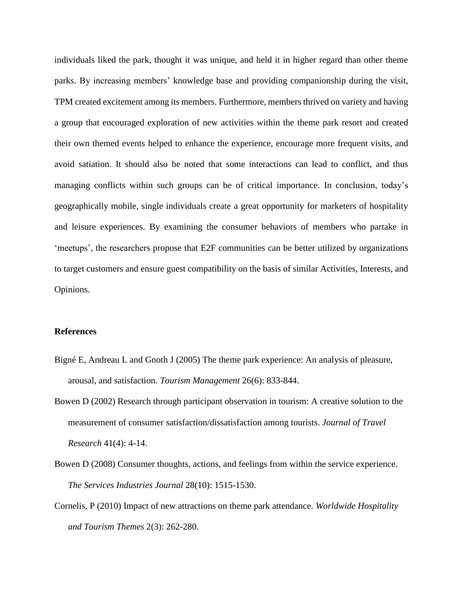individuals liked the park, thought it was unique, and held it in higher regard than other theme parks. By increasing members' knowledge base and providing companionship during the visit, TPM created excitement among its members. Furthermore, members thrived on variety and having a group that encouraged exploration of new activities within the theme park resort and created their own themed events helped to enhance the experience, encourage more frequent visits, and avoid satiation. It should also be noted that some interactions can lead to conflict, and thus managing conflicts within such groups can be of critical importance. In conclusion, today's geographically mobile, single individuals create a great opportunity for marketers of hospitality and leisure experiences. By examining the consumer behaviors of members who partake in 'meetups', the researchers propose that E2F communities can be better utilized by organizations to target customers and ensure guest compatibility on the basis of similar Activities, Interests, and Opinions.

# **References**

- Bigné E, Andreau L and Gnoth J (2005) The theme park experience: An analysis of pleasure, arousal, and satisfaction. *Tourism Management* 26(6): 833-844.
- Bowen D (2002) Research through participant observation in tourism: A creative solution to the measurement of consumer satisfaction/dissatisfaction among tourists. *Journal of Travel Research* 41(4): 4-14.
- Bowen D (2008) Consumer thoughts, actions, and feelings from within the service experience. *The Services Industries Journal* 28(10): 1515-1530.
- Cornelis, P (2010) Impact of new attractions on theme park attendance. *Worldwide Hospitality and Tourism Themes* 2(3): 262-280.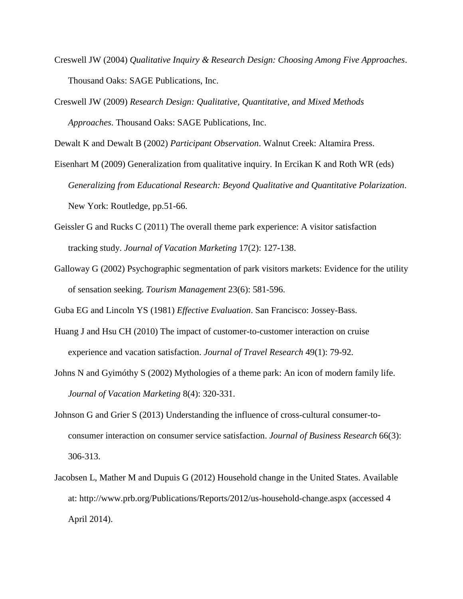- Creswell JW (2004) *Qualitative Inquiry & Research Design: Choosing Among Five Approaches*. Thousand Oaks: SAGE Publications, Inc.
- Creswell JW (2009) *Research Design: Qualitative, Quantitative, and Mixed Methods Approaches*. Thousand Oaks: SAGE Publications, Inc.

Dewalt K and Dewalt B (2002) *Participant Observation*. Walnut Creek: Altamira Press.

- Eisenhart M (2009) Generalization from qualitative inquiry. In Ercikan K and Roth WR (eds) *Generalizing from Educational Research: Beyond Qualitative and Quantitative Polarization*. New York: Routledge, pp.51-66.
- Geissler G and Rucks C (2011) The overall theme park experience: A visitor satisfaction tracking study. *Journal of Vacation Marketing* 17(2): 127-138.
- Galloway G (2002) Psychographic segmentation of park visitors markets: Evidence for the utility of sensation seeking. *Tourism Management* 23(6): 581-596.

Guba EG and Lincoln YS (1981) *Effective Evaluation*. San Francisco: Jossey-Bass.

- Huang J and Hsu CH (2010) The impact of customer-to-customer interaction on cruise experience and vacation satisfaction. *Journal of Travel Research* 49(1): 79-92.
- Johns N and Gyimóthy S (2002) Mythologies of a theme park: An icon of modern family life. *Journal of Vacation Marketing* 8(4): 320-331.
- Johnson G and Grier S (2013) Understanding the influence of cross-cultural consumer-toconsumer interaction on consumer service satisfaction. *Journal of Business Research* 66(3): 306-313.
- Jacobsen L, Mather M and Dupuis G (2012) Household change in the United States. Available at:<http://www.prb.org/Publications/Reports/2012/us-household-change.aspx> (accessed 4 April 2014).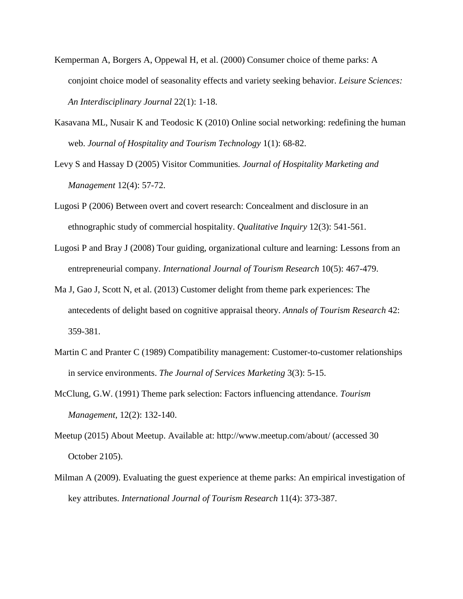- Kemperman A, Borgers A, Oppewal H, et al. (2000) Consumer choice of theme parks: A conjoint choice model of seasonality effects and variety seeking behavior. *Leisure Sciences: An Interdisciplinary Journal* 22(1): 1-18.
- Kasavana ML, Nusair K and Teodosic K (2010) Online social networking: redefining the human web. *Journal of Hospitality and Tourism Technology* 1(1): 68-82.
- Levy S and Hassay D (2005) Visitor Communities*. Journal of Hospitality Marketing and Management* 12(4): 57-72.
- Lugosi P (2006) Between overt and covert research: Concealment and disclosure in an ethnographic study of commercial hospitality. *Qualitative Inquiry* 12(3): 541-561.
- Lugosi P and Bray J (2008) Tour guiding, organizational culture and learning: Lessons from an entrepreneurial company. *International Journal of Tourism Research* 10(5): 467-479.
- Ma J, Gao J, Scott N, et al. (2013) Customer delight from theme park experiences: The antecedents of delight based on cognitive appraisal theory. *Annals of Tourism Research* 42: 359-381.
- Martin C and Pranter C (1989) Compatibility management: Customer-to-customer relationships in service environments. *The Journal of Services Marketing* 3(3): 5-15.
- McClung, G.W. (1991) Theme park selection: Factors influencing attendance. *Tourism Management*, 12(2): 132-140.
- Meetup (2015) About Meetup. Available at: http://www.meetup.com/about/ (accessed 30 October 2105).
- Milman A (2009). Evaluating the guest experience at theme parks: An empirical investigation of key attributes. *International Journal of Tourism Research* 11(4): 373-387.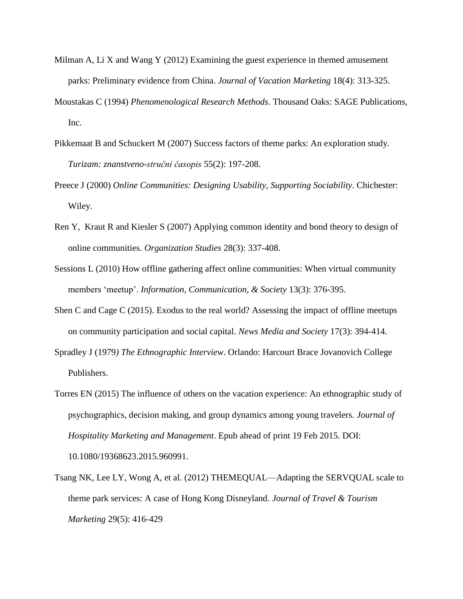- Milman A, Li X and Wang Y (2012) Examining the guest experience in themed amusement parks: Preliminary evidence from China. *Journal of Vacation Marketing* 18(4): 313-325.
- Moustakas C (1994) *Phenomenological Research Methods*. Thousand Oaks: SAGE Publications, Inc.
- Pikkemaat B and Schuckert M (2007) Success factors of theme parks: An exploration study. *Turizam: znanstveno-stručni časopis* 55(2): 197-208.
- Preece J (2000) *Online Communities: Designing Usability, Supporting Sociability*. Chichester: Wiley.
- Ren Y, Kraut R and Kiesler S (2007) Applying common identity and bond theory to design of online communities. *Organization Studies* 28(3): 337-408.
- Sessions L (2010) How offline gathering affect online communities: When virtual community members 'meetup'. *Information, Communication, & Society* 13(3): 376-395.
- Shen C and Cage C (2015). Exodus to the real world? Assessing the impact of offline meetups on community participation and social capital. *News Media and Society* 17(3): 394-414.
- Spradley J (1979*) The Ethnographic Interview*. Orlando: Harcourt Brace Jovanovich College Publishers.
- Torres EN (2015) The influence of others on the vacation experience: An ethnographic study of psychographics, decision making, and group dynamics among young travelers. *Journal of Hospitality Marketing and Management*. Epub ahead of print 19 Feb 2015. DOI: 10.1080/19368623.2015.960991.
- Tsang NK, Lee LY, Wong A, et al. (2012) THEMEQUAL—Adapting the SERVQUAL scale to theme park services: A case of Hong Kong Disneyland. *Journal of Travel & Tourism Marketing* 29(5): 416-429